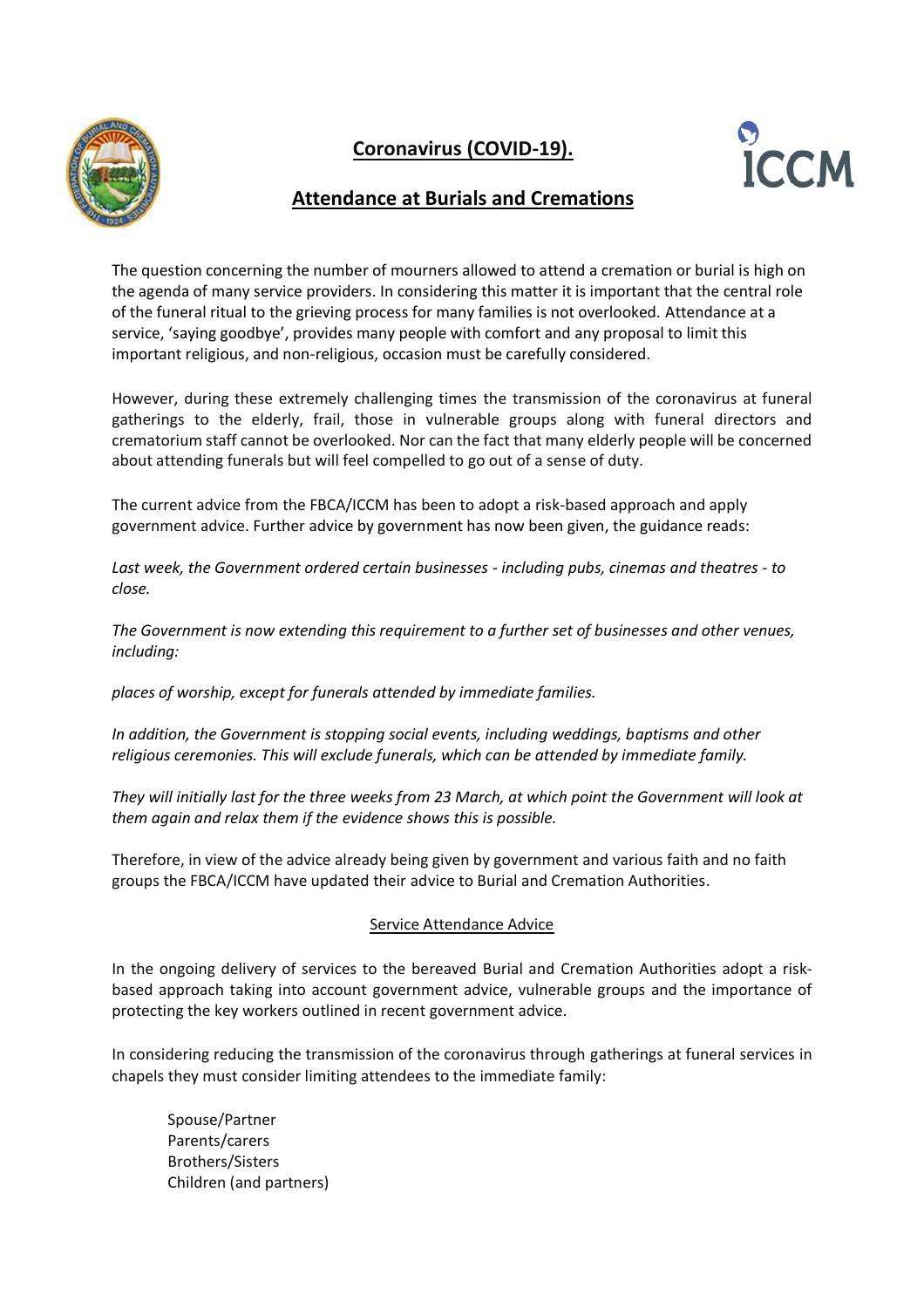

## **Coronavirus (COVID-19).**



## **Attendance at Burials and Cremations**

The question concerning the number of mourners allowed to attend a cremation or burial is high on the agenda of many service providers. In considering this matter it is important that the central role of the funeral ritual to the grieving process for many families is not overlooked. Attendance at a service, 'saying goodbye', provides many people with comfort and any proposal to limit this important religious, and non-religious, occasion must be carefully considered.

However, during these extremely challenging times the transmission of the coronavirus at funeral gatherings to the elderly, frail, those in vulnerable groups along with funeral directors and crematorium staff cannot be overlooked. Nor can the fact that many elderly people will be concerned about attending funerals but will feel compelled to go out of a sense of duty.

The current advice from the FBCA/ICCM has been to adopt a risk-based approach and apply government advice. Further advice by government has now been given, the guidance reads:

*Last week, the Government ordered certain businesses - including pubs, cinemas and theatres - to close.*

*The Government is now extending this requirement to a further set of businesses and other venues, including:*

*places of worship, except for funerals attended by immediate families.*

*In addition, the Government is stopping social events, including weddings, baptisms and other religious ceremonies. This will exclude funerals, which can be attended by immediate family.*

*They will initially last for the three weeks from 23 March, at which point the Government will look at them again and relax them if the evidence shows this is possible.*

Therefore, in view of the advice already being given by government and various faith and no faith groups the FBCA/ICCM have updated their advice to Burial and Cremation Authorities.

## Service Attendance Advice

In the ongoing delivery of services to the bereaved Burial and Cremation Authorities adopt a riskbased approach taking into account government advice, vulnerable groups and the importance of protecting the key workers outlined in recent government advice.

In considering reducing the transmission of the coronavirus through gatherings at funeral services in chapels they must consider limiting attendees to the immediate family:

Spouse/Partner Parents/carers Brothers/Sisters Children (and partners)